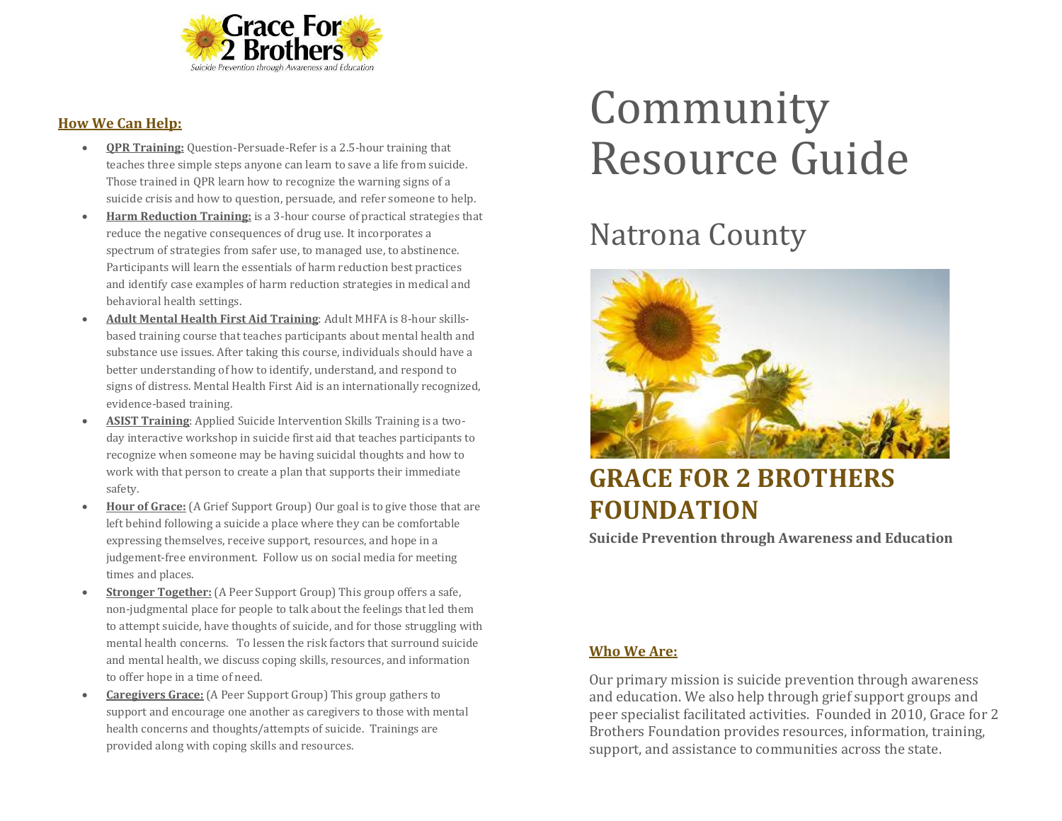

### **How We Can Help:**

- **QPR Training:** Question-Persuade-Refer is a 2.5-hour training that teaches three simple steps anyone can learn to save a life from suicide. Those trained in QPR learn how to recognize the warning signs of a suicide crisis and how to question, persuade, and refer someone to help.
- **Harm Reduction Training:** is a 3-hour course of practical strategies that reduce the negative consequences of drug use. It incorporates a spectrum of strategies from safer use, to managed use, to abstinence. Participants will learn the essentials of harm reduction best practices and identify case examples of harm reduction strategies in medical and behavioral health settings.
- **Adult Mental Health First Aid Training**: Adult MHFA is 8-hour skillsbased training course that teaches participants about mental health and substance use issues. After taking this course, individuals should have a better understanding of how to identify, understand, and respond to signs of distress. Mental Health First Aid is an internationally recognized, evidence-based training.
- **ASIST Training**: Applied Suicide Intervention Skills Training is a twoday interactive workshop in suicide first aid that teaches participants to recognize when someone may be having suicidal thoughts and how to work with that person to create a plan that supports their immediate safety.
- **Hour of Grace:** (A Grief Support Group) Our goal is to give those that are left behind following a suicide a place where they can be comfortable expressing themselves, receive support, resources, and hope in a judgement-free environment. Follow us on social media for meeting times and places.
- **Stronger Together:** (A Peer Support Group) This group offers a safe, non-judgmental place for people to talk about the feelings that led them to attempt suicide, have thoughts of suicide, and for those struggling with mental health concerns. To lessen the risk factors that surround suicide and mental health, we discuss coping skills, resources, and information to offer hope in a time of need.
- **Caregivers Grace:** (A Peer Support Group) This group gathers to support and encourage one another as caregivers to those with mental health concerns and thoughts/attempts of suicide. Trainings are provided along with coping skills and resources.

# Community Resource Guide

# Natrona County



# **GRACE FOR 2 BROTHERS FOUNDATION**

**Suicide Prevention through Awareness and Education**

## **Who We Are:**

Our primary mission is suicide prevention through awareness and education. We also help through grief support groups and peer specialist facilitated activities. Founded in 2010, Grace for 2 Brothers Foundation provides resources, information, training, support, and assistance to communities across the state.